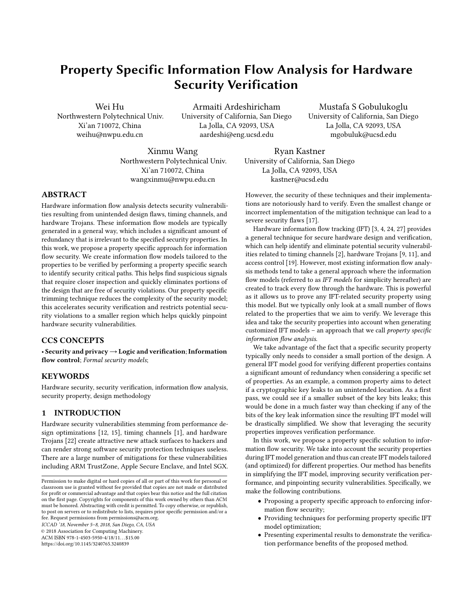# Property Specific Information Flow Analysis for Hardware Security Verification

Wei Hu Northwestern Polytechnical Univ. Xi'an 710072, China weihu@nwpu.edu.cn

Armaiti Ardeshiricham University of California, San Diego La Jolla, CA 92093, USA aardeshi@eng.ucsd.edu

Mustafa S Gobulukoglu University of California, San Diego La Jolla, CA 92093, USA mgobuluk@ucsd.edu

Xinmu Wang Northwestern Polytechnical Univ. Xi'an 710072, China wangxinmu@nwpu.edu.cn

Ryan Kastner University of California, San Diego La Jolla, CA 92093, USA kastner@ucsd.edu

## ABSTRACT

Hardware information flow analysis detects security vulnerabilities resulting from unintended design flaws, timing channels, and hardware Trojans. These information flow models are typically generated in a general way, which includes a significant amount of redundancy that is irrelevant to the specified security properties. In this work, we propose a property specific approach for information flow security. We create information flow models tailored to the properties to be verified by performing a property specific search to identify security critical paths. This helps find suspicious signals that require closer inspection and quickly eliminates portions of the design that are free of security violations. Our property specific trimming technique reduces the complexity of the security model; this accelerates security verification and restricts potential security violations to a smaller region which helps quickly pinpoint hardware security vulnerabilities.

# CCS CONCEPTS

• Security and privacy→Logic and verification;Information flow control; Formal security models;

#### **KEYWORDS**

Hardware security, security verification, information flow analysis, security property, design methodology

# 1 INTRODUCTION

Hardware security vulnerabilities stemming from performance design optimizations [\[12,](#page-7-0) [15\]](#page-7-1), timing channels [\[1\]](#page-7-2), and hardware Trojans [\[22\]](#page-7-3) create attractive new attack surfaces to hackers and can render strong software security protection techniques useless. There are a large number of mitigations for these vulnerabilities including ARM TrustZone, Apple Secure Enclave, and Intel SGX.

ICCAD '18, November 5–8, 2018, San Diego, CA, USA

© 2018 Association for Computing Machinery.

ACM ISBN 978-1-4503-5950-4/18/11...\$15.00

<https://doi.org/10.1145/3240765.3240839>

However, the security of these techniques and their implementations are notoriously hard to verify. Even the smallest change or incorrect implementation of the mitigation technique can lead to a severe security flaws [\[17\]](#page-7-4).

Hardware information flow tracking (IFT) [\[3,](#page-7-5) [4,](#page-7-6) [24,](#page-7-7) [27\]](#page-7-8) provides a general technique for secure hardware design and verification, which can help identify and eliminate potential security vulnerabilities related to timing channels [\[2\]](#page-7-9), hardware Trojans [\[9,](#page-7-10) [11\]](#page-7-11), and access control [\[19\]](#page-7-12). However, most existing information flow analysis methods tend to take a general approach where the information flow models (referred to as IFT models for simplicity hereafter) are created to track every flow through the hardware. This is powerful as it allows us to prove any IFT-related security property using this model. But we typically only look at a small number of flows related to the properties that we aim to verify. We leverage this idea and take the security properties into account when generating customized IFT models – an approach that we call property specific information flow analysis.

We take advantage of the fact that a specific security property typically only needs to consider a small portion of the design. A general IFT model good for verifying different properties contains a significant amount of redundancy when considering a specific set of properties. As an example, a common property aims to detect if a cryptographic key leaks to an unintended location. As a first pass, we could see if a smaller subset of the key bits leaks; this would be done in a much faster way than checking if any of the bits of the key leak information since the resulting IFT model will be drastically simplified. We show that leveraging the security properties improves verification performance.

In this work, we propose a property specific solution to information flow security. We take into account the security properties during IFT model generation and thus can create IFT models tailored (and optimized) for different properties. Our method has benefits in simplifying the IFT model, improving security verification performance, and pinpointing security vulnerabilities. Specifically, we make the following contributions.

- Proposing a property specific approach to enforcing information flow security;
- Providing techniques for performing property specific IFT model optimization;
- Presenting experimental results to demonstrate the verification performance benefits of the proposed method.

Permission to make digital or hard copies of all or part of this work for personal or classroom use is granted without fee provided that copies are not made or distributed for profit or commercial advantage and that copies bear this notice and the full citation on the first page. Copyrights for components of this work owned by others than ACM must be honored. Abstracting with credit is permitted. To copy otherwise, or republish, to post on servers or to redistribute to lists, requires prior specific permission and/or a fee. Request permissions from permissions@acm.org.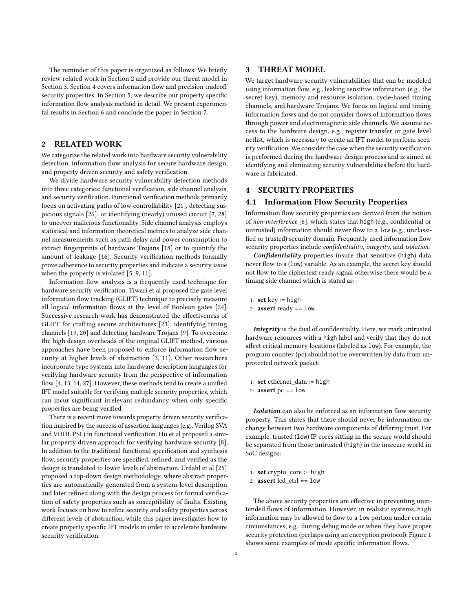The reminder of this paper is organized as follows. We briefly review related work in Section [2](#page-1-0) and provide our threat model in Section [3.](#page-1-1) Section [4](#page-1-2) covers information flow and precision tradeoff security properties. In Section [5,](#page-3-0) we describe our property specific information flow analysis method in detail. We present experimental results in Section [6](#page-4-0) and conclude the paper in Section [7.](#page-7-13)

#### <span id="page-1-0"></span>2 RELATED WORK

We categorize the related work into hardware security vulnerability detection, information flow analysis for secure hardware design, and property driven security and safety verification.

We divide hardware security vulnerability detection methods into three categories: functional verification, side channel analysis, and security verification. Functional verification methods primarily focus on activating paths of low controllability [\[21\]](#page-7-14), detecting suspicious signals [\[26\]](#page-7-15), or identifying (nearly) unused circuit [\[7,](#page-7-16) [28\]](#page-7-17) to uncover malicious functionality. Side channel analysis employs statistical and information theoretical metrics to analyze side channel measurements such as path delay and power consumption to extract fingerprints of hardware Trojans [\[18\]](#page-7-18) or to quantify the amount of leakage [\[16\]](#page-7-19). Security verification methods formally prove adherence to security properties and indicate a security issue when the property is violated [\[5,](#page-7-20) [9,](#page-7-10) [11\]](#page-7-11).

Information flow analysis is a frequently used technique for hardware security verification. Tiwari et al proposed the gate level information flow tracking (GLIFT) technique to precisely measure all logical information flows at the level of Boolean gates [\[24\]](#page-7-7). Successive research work has demonstrated the effectiveness of GLIFT for crafting secure architectures [\[23\]](#page-7-21), identifying timing channels [\[19,](#page-7-12) [20\]](#page-7-22) and detecting hardware Trojans [\[9\]](#page-7-10). To overcome the high design overheads of the original GLIFT method, various approaches have been proposed to enforce information flow security at higher levels of abstraction [\[3,](#page-7-5) [11\]](#page-7-11). Other researchers incorporate type systems into hardware description languages for verifying hardware security from the perspective of information flow [\[4,](#page-7-6) [13,](#page-7-23) [14,](#page-7-24) [27\]](#page-7-8). However, these methods tend to create a unified IFT model suitable for verifying multiple security properties, which can incur significant irrelevant redundancy when only specific properties are being verified.

There is a recent move towards property driven security verification inspired by the success of assertion languages (e.g., Verilog SVA and VHDL PSL) in functional verification. Hu et al proposed a similar property driven approach for verifying hardware security [\[8\]](#page-7-25). In addition to the traditional functional specification and synthesis flow, security properties are specified, refined, and verified as the design is translated to lower levels of abstraction. Urdahl et al [\[25\]](#page-7-26) proposed a top-down design methodology, where abstract properties are automatically generated from a system-level description and later refined along with the design process for formal verification of safety properties such as susceptibility of faults. Existing work focuses on how to refine security and safety properties across different levels of abstraction, while this paper investigates how to create property specific IFT models in order to accelerate hardware security verification.

## <span id="page-1-1"></span>3 THREAT MODEL

We target hardware security vulnerabilities that can be modeled using information flow, e.g., leaking sensitive information (e.g., the secret key), memory and resource isolation, cycle-based timing channels, and hardware Trojans. We focus on logical and timing information flows and do not consider flows of information flows through power and electromagnetic side channels. We assume access to the hardware design, e.g., register transfer or gate level netlist, which is necessary to create an IFT model to perform security verification. We consider the case when the security verification is performed during the hardware design process and is aimed at identifying and eliminating security vulnerabilities before the hardware is fabricated.

### <span id="page-1-2"></span>4 SECURITY PROPERTIES

#### 4.1 Information Flow Security Properties

Information flow security properties are derived from the notion of non-interference [\[6\]](#page-7-27), which states that high (e.g., confidential or untrusted) information should never flow to a low (e.g., unclassified or trusted) security domain. Frequently used information flow security properties include *confidentiality*, *integrity*, and *isolation*.

Confidentiality properties insure that sensitive (high) data never flow to a (low) variable. As an example, the secret key should not flow to the ciphertext ready signal otherwise there would be a timing side channel which is stated as:

1:  $set key := high$ 

2: **assert** ready  $==$  low

Integrity is the dual of confidentiality. Here, we mark untrusted hardware resources with a high label and verify that they do not affect critical memory locations (labeled as low). For example, the program counter (pc) should not be overwritten by data from unprotected network packet:

1: set ethernet\_data := high 2: **assert**  $pc == 1$ ow

Isolation can also be enforced as an information flow security property. This states that there should never be information exchange between two hardware components of differing trust. For example, trusted (low) IP cores sitting in the secure world should be separated from those untrusted (high) in the insecure world in SoC designs:

```
1: set crypto_core := high
```

```
2: assert \text{lcd} ctrl == low
```
The above security properties are effective in preventing unintended flows of information. However, in realistic systems, high information may be allowed to flow to a low portion under certain circumstances, e.g., during debug mode or when they have proper security protection (perhaps using an encryption protocol). Figure [1](#page-2-0) shows some examples of mode specific information flows.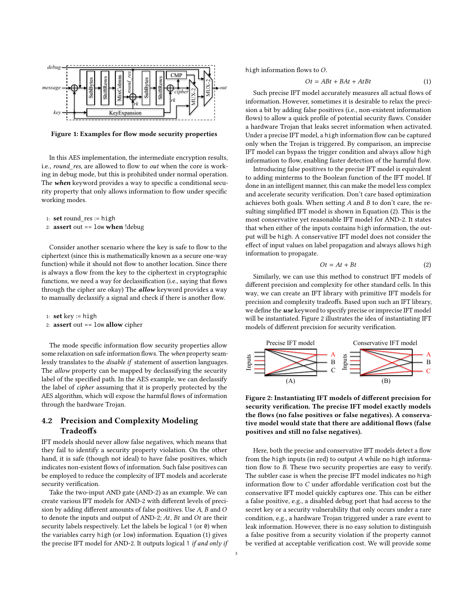<span id="page-2-0"></span>

Figure 1: Examples for flow mode security properties

In this AES implementation, the intermediate encryption results, i.e., round\_res, are allowed to flow to out when the core is working in debug mode, but this is prohibited under normal operation. The when keyword provides a way to specific a conditional security property that only allows information to flow under specific working modes.

- 1: set round  $res := high$
- 2: assert out  $==$  low when !debug

Consider another scenario where the key is safe to flow to the ciphertext (since this is mathematically known as a secure one-way function) while it should not flow to another location. Since there is always a flow from the key to the ciphertext in cryptographic functions, we need a way for declassification (i.e., saying that flows through the cipher are okay) The *allow* keyword provides a way to manually declassify a signal and check if there is another flow.

1:  $set key := high$ 

2: assert out  $==$  low allow cipher

The mode specific information flow security properties allow some relaxation on safe information flows. The when property seamlessly translates to the disable if statement of assertion languages. The *allow* property can be mapped by declassifying the security label of the specified path. In the AES example, we can declassify the label of cipher assuming that it is properly protected by the AES algorithm, which will expose the harmful flows of information through the hardware Trojan.

## <span id="page-2-4"></span>4.2 Precision and Complexity Modeling **Tradeoffs**

IFT models should never allow false negatives, which means that they fail to identify a security property violation. On the other hand, it is safe (though not ideal) to have false positives, which indicates non-existent flows of information. Such false positives can be employed to reduce the complexity of IFT models and accelerate security verification.

Take the two-input AND gate (AND-2) as an example. We can create various IFT models for AND-2 with different levels of precision by adding different amounts of false positives. Use A, B and O to denote the inputs and output of AND-2;  $At$ ,  $Bt$  and  $Ot$  are their security labels respectively. Let the labels be logical 1 (or 0) when the variables carry high (or low) information. Equation [\(1\)](#page-2-1) gives the precise IFT model for AND-2. It outputs logical 1 if and only if high information flows to O.

<span id="page-2-1"></span>
$$
Dt = ABt + BAt + AtBt \tag{1}
$$

Such precise IFT model accurately measures all actual flows of information. However, sometimes it is desirable to relax the precision a bit by adding false positives (i.e., non-existent information flows) to allow a quick profile of potential security flaws. Consider a hardware Trojan that leaks secret information when activated. Under a precise IFT model, a high information flow can be captured only when the Trojan is triggered. By comparison, an imprecise IFT model can bypass the trigger condition and always allow high information to flow, enabling faster detection of the harmful flow.

Introducing false positives to the precise IFT model is equivalent to adding minterms to the Boolean function of the IFT model. If done in an intelligent manner, this can make the model less complex and accelerate security verification. Don't care based optimization achieves both goals. When setting  $A$  and  $B$  to don't care, the resulting simplified IFT model is shown in Equation [\(2\)](#page-2-2). This is the most conservative yet reasonable IFT model for AND-2. It states that when either of the inputs contains high information, the output will be high. A conservative IFT model does not consider the effect of input values on label propagation and always allows high information to propagate.

<span id="page-2-2"></span>
$$
Dt = At + Bt \tag{2}
$$

Similarly, we can use this method to construct IFT models of different precision and complexity for other standard cells. In this way, we can create an IFT library with primitive IFT models for precision and complexity tradeoffs. Based upon such an IFT library, we define the use keyword to specify precise or imprecise IFT model will be instantiated. Figure [2](#page-2-3) illustrates the idea of instantiating IFT models of different precision for security verification.

<span id="page-2-3"></span>

Figure 2: Instantiating IFT models of different precision for security verification. The precise IFT model exactly models the flows (no false positives or false negatives). A conservative model would state that there are additional flows (false positives and still no false negatives).

Here, both the precise and conservative IFT models detect a flow from the high inputs (in red) to output A while no high information flow to B. These two security properties are easy to verify. The subtler case is when the precise IFT model indicates no high information flow to C under affordable verification cost but the conservative IFT model quickly captures one. This can be either a false positive, e.g., a disabled debug port that had access to the secret key or a security vulnerability that only occurs under a rare condition, e.g., a hardware Trojan triggered under a rare event to leak information. However, there is no easy solution to distinguish a false positive from a security violation if the property cannot be verified at acceptable verification cost. We will provide some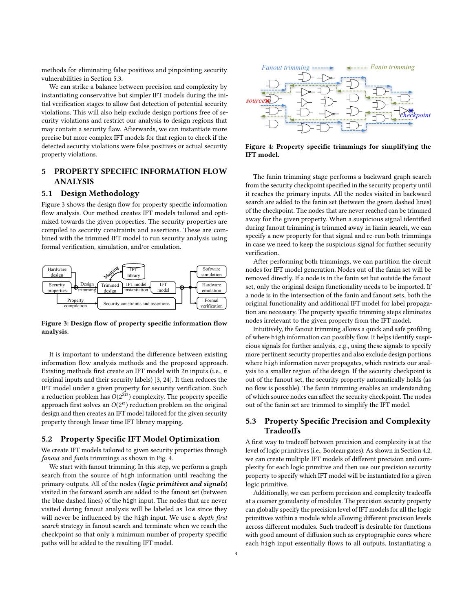methods for eliminating false positives and pinpointing security vulnerabilities in Section [5.3.](#page-3-1)

We can strike a balance between precision and complexity by instantiating conservative but simpler IFT models during the initial verification stages to allow fast detection of potential security violations. This will also help exclude design portions free of security violations and restrict our analysis to design regions that may contain a security flaw. Afterwards, we can instantiate more precise but more complex IFT models for that region to check if the detected security violations were false positives or actual security property violations.

# <span id="page-3-0"></span>5 PROPERTY SPECIFIC INFORMATION FLOW ANALYSIS

## <span id="page-3-4"></span>5.1 Design Methodology

Figure [3](#page-3-2) shows the design flow for property specific information flow analysis. Our method creates IFT models tailored and optimized towards the given properties. The security properties are compiled to security constraints and assertions. These are combined with the trimmed IFT model to run security analysis using formal verification, simulation, and/or emulation.

<span id="page-3-2"></span>

Figure 3: Design flow of property specific information flow analysis.

It is important to understand the difference between existing information flow analysis methods and the proposed approach. Existing methods first create an IFT model with  $2n$  inputs (i.e.,  $n$ original inputs and their security labels) [\[3,](#page-7-5) [24\]](#page-7-7). It then reduces the IFT model under a given property for security verification. Such a reduction problem has  $O(2^{2n})$  complexity. The property specific approach first solves an  $O(2^n)$  reduction problem on the original design and then creates an IFT model tailored for the given security property through linear time IFT library mapping.

### 5.2 Property Specific IFT Model Optimization

We create IFT models tailored to given security properties through fanout and fanin trimmings as shown in Fig. [4.](#page-3-3)

We start with fanout trimming. In this step, we perform a graph search from the source of high information until reaching the primary outputs. All of the nodes (logic primitives and signals) visited in the forward search are added to the fanout set (between the blue dashed lines) of the high input. The nodes that are never visited during fanout analysis will be labeled as low since they will never be influenced by the high input. We use a *depth first* search strategy in fanout search and terminate when we reach the checkpoint so that only a minimum number of property specific paths will be added to the resulting IFT model.

<span id="page-3-3"></span>

Figure 4: Property specific trimmings for simplifying the IFT model.

The fanin trimming stage performs a backward graph search from the security checkpoint specified in the security property until it reaches the primary inputs. All the nodes visited in backward search are added to the fanin set (between the green dashed lines) of the checkpoint. The nodes that are never reached can be trimmed away for the given property. When a suspicious signal identified during fanout trimming is trimmed away in fanin search, we can specify a new property for that signal and re-run both trimmings in case we need to keep the suspicious signal for further security verification.

After performing both trimmings, we can partition the circuit nodes for IFT model generation. Nodes out of the fanin set will be removed directly. If a node is in the fanin set but outside the fanout set, only the original design functionality needs to be imported. If a node is in the intersection of the fanin and fanout sets, both the original functionality and additional IFT model for label propagation are necessary. The property specific trimming steps eliminates nodes irrelevant to the given property from the IFT model.

Intuitively, the fanout trimming allows a quick and safe profiling of where high information can possibly flow. It helps identify suspicious signals for further analysis, e.g., using these signals to specify more pertinent security properties and also exclude design portions where high information never propagates, which restricts our analysis to a smaller region of the design. If the security checkpoint is out of the fanout set, the security property automatically holds (as no flow is possible). The fanin trimming enables an understanding of which source nodes can affect the security checkpoint. The nodes out of the fanin set are trimmed to simplify the IFT model.

## <span id="page-3-1"></span>5.3 Property Specific Precision and Complexity **Tradeoffs**

A first way to tradeoff between precision and complexity is at the level of logic primitives (i.e., Boolean gates). As shown in Section [4.2,](#page-2-4) we can create multiple IFT models of different precision and complexity for each logic primitive and then use our precision security property to specify which IFT model will be instantiated for a given logic primitive.

Additionally, we can perform precision and complexity tradeoffs at a coarser granularity of modules. The precision security property can globally specify the precision level of IFT models for all the logic primitives within a module while allowing different precision levels across different modules. Such tradeoff is desirable for functions with good amount of diffusion such as cryptographic cores where each high input essentially flows to all outputs. Instantiating a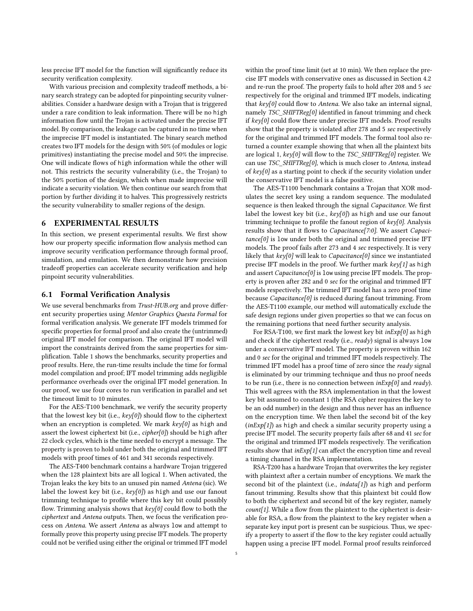less precise IFT model for the function will significantly reduce its security verification complexity.

With various precision and complexity tradeoff methods, a binary search strategy can be adopted for pinpointing security vulnerabilities. Consider a hardware design with a Trojan that is triggered under a rare condition to leak information. There will be no high information flow until the Trojan is activated under the precise IFT model. By comparison, the leakage can be captured in no time when the imprecise IFT model is instantiated. The binary search method creates two IFT models for the design with 50% (of modules or logic primitives) instantiating the precise model and 50% the imprecise. One will indicate flows of high information while the other will not. This restricts the security vulnerability (i.e., the Trojan) to the 50% portion of the design, which when made imprecise will indicate a security violation. We then continue our search from that portion by further dividing it to halves. This progressively restricts the security vulnerability to smaller regions of the design.

### <span id="page-4-0"></span>6 EXPERIMENTAL RESULTS

In this section, we present experimental results. We first show how our property specific information flow analysis method can improve security verification performance through formal proof, simulation, and emulation. We then demonstrate how precision tradeoff properties can accelerate security verification and help pinpoint security vulnerabilities.

#### 6.1 Formal Verification Analysis

We use several benchmarks from Trust-HUB.org and prove different security properties using Mentor Graphics Questa Formal for formal verification analysis. We generate IFT models trimmed for specific properties for formal proof and also create the (untrimmed) original IFT model for comparison. The original IFT model will import the constraints derived from the same properties for simplification. Table [1](#page-5-0) shows the benchmarks, security properties and proof results. Here, the run-time results include the time for formal model compilation and proof; IFT model trimming adds negligible performance overheads over the original IFT model generation. In our proof, we use four cores to run verification in parallel and set the timeout limit to 10 minutes.

For the AES-T100 benchmark, we verify the security property that the lowest key bit (i.e.,  $key[0]$ ) should flow to the ciphertext when an encryption is completed. We mark  $key[0]$  as high and assert the lowest ciphertext bit (i.e., cipher[0]) should be high after 22 clock cycles, which is the time needed to encrypt a message. The property is proven to hold under both the original and trimmed IFT models with proof times of 461 and 341 seconds respectively.

The AES-T400 benchmark contains a hardware Trojan triggered when the 128 plaintext bits are all logical 1. When activated, the Trojan leaks the key bits to an unused pin named Antena (sic). We label the lowest key bit (i.e.,  $key[0]$ ) as high and use our fanout trimming technique to profile where this key bit could possibly flow. Trimming analysis shows that key[0] could flow to both the ciphertext and Antena outputs. Then, we focus the verification process on Antena. We assert Antena as always low and attempt to formally prove this property using precise IFT models. The property could not be verified using either the original or trimmed IFT model

within the proof time limit (set at 10 min). We then replace the precise IFT models with conservative ones as discussed in Section [4.2](#page-2-4) and re-run the proof. The property fails to hold after 208 and 5 sec respectively for the original and trimmed IFT models, indicating that key[0] could flow to Antena. We also take an internal signal, namely TSC\_SHIFTReg[0] identified in fanout trimming and check if  $key[0]$  could flow there under precise IFT models. Proof results show that the property is violated after 278 and 5 sec respectively for the original and trimmed IFT models. The formal tool also returned a counter example showing that when all the plaintext bits are logical 1,  $key[0]$  will flow to the *TSC* SHIFTReg[0] register. We can use TSC\_SHIFTReg[0], which is much closer to Antena, instead of  $key[0]$  as a starting point to check if the security violation under the conservative IFT model is a false positive.

The AES-T1100 benchmark contains a Trojan that XOR modulates the secret key using a random sequence. The modulated sequence is then leaked through the signal Capacitance. We first label the lowest key bit (i.e.,  $key[0]$ ) as high and use our fanout trimming technique to profile the fanout region of  $kev[0]$ . Analysis results show that it flows to Capacitance[7:0]. We assert Capaci $tance[0]$  is low under both the original and trimmed precise IFT models. The proof fails after 273 and 4 sec respectively. It is very likely that  $key[0]$  will leak to *Capacitance*[0] since we instantiated precise IFT models in the proof. We further mark  $key[1]$  as high and assert *Capacitance*[0] is low using precise IFT models. The property is proven after 282 and 0 sec for the original and trimmed IFT models respectively. The trimmed IFT model has a zero proof time because Capacitance[0] is reduced during fanout trimming. From the AES-T1100 example, our method will automatically exclude the safe design regions under given properties so that we can focus on the remaining portions that need further security analysis.

For RSA-T100, we first mark the lowest key bit  $inExp[0]$  as high and check if the ciphertext ready (i.e., ready) signal is always low under a conservative IFT model. The property is proven within 162 and 0 sec for the original and trimmed IFT models respectively. The trimmed IFT model has a proof time of zero since the ready signal is eliminated by our trimming technique and thus no proof needs to be run (i.e., there is no connection between  $inExp[0]$  and  $ready$ ). This well agrees with the RSA implementation in that the lowest key bit assumed to constant 1 (the RSA cipher requires the key to be an odd number) in the design and thus never has an influence on the encryption time. We then label the second bit of the key  $(inExp[1])$  as high and check a similar security property using a precise IFT model. The security property fails after 68 and 41 sec for the original and trimmed IFT models respectively. The verification results show that  $inExp[1]$  can affect the encryption time and reveal a timing channel in the RSA implementation.

RSA-T200 has a hardware Trojan that overwrites the key register with plaintext after a certain number of encyptions. We mark the second bit of the plaintext (i.e.,  $indata[1]$ ) as high and perform fanout trimming. Results show that this plaintext bit could flow to both the ciphertext and second bit of the key register, namely count[1]. While a flow from the plaintext to the ciphertext is desirable for RSA, a flow from the plaintext to the key register when a separate key input port is present can be suspicious. Thus, we specify a property to assert if the flow to the key register could actually happen using a precise IFT model. Formal proof results reinforced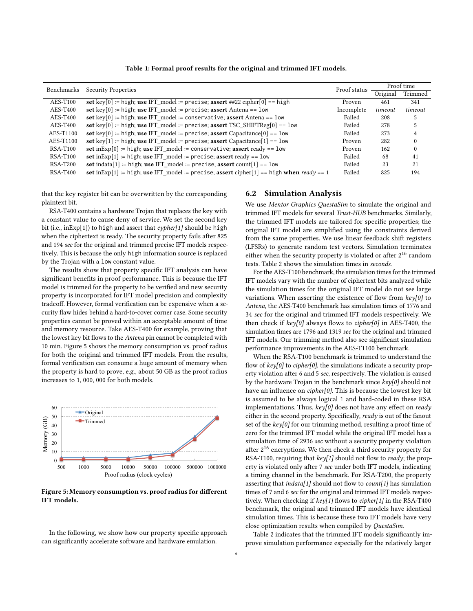<span id="page-5-0"></span>

| Benchmarks | <b>Security Properties</b>                                                                 | Proof status | Proof time |          |
|------------|--------------------------------------------------------------------------------------------|--------------|------------|----------|
|            |                                                                                            |              | Original   | Trimmed  |
| $AES-T100$ | set $key[0] := high$ ; use IFT model := precise; assert ##22 cipher[0] == high             | Proven       | 461        | 341      |
| AES-T400   | set $key[0] := high$ ; use IFT model := precise; assert Antena == low                      | Incomplete   | timeout    | timeout  |
| $AES-T400$ | set key[0] := high; use IFT model := conservative; assert Antena == low                    | Failed       | 208        | 5        |
| AES-T400   | set key $[0]$ := high; use IFT model := precise; assert TSC SHIFTReg $[0]$ == low          | Failed       | 278        |          |
| AES-T1100  | set $key[0] := high$ ; use IFT model := precise; assert Capacitance $[0] == low$           | Failed       | 273        | 4        |
| AES-T1100  | set key[1] := high; use IFT model := precise; assert Capacitance[1] == low                 | Proven       | 282        | $\theta$ |
| $RSA-T100$ | set in $Exp[0] := high$ ; use IFT_model := conservative; assert ready == low               | Proven       | 162        | $\Omega$ |
| $RSA-T100$ | set in $Exp[1]$ := high; use IFT model := precise; assert ready == low                     | Failed       | 68         | 41       |
| $RSA-T200$ | set indata[1] := high; use IFT model := precise; assert count[1] == low                    | Failed       | 23         | 21       |
| $RSA-T400$ | set in Exp[1] := high; use IFT model := precise; assert cipher [1] == high when ready == 1 | Failed       | 825        | 194      |

Table 1: Formal proof results for the original and trimmed IFT models.

that the key register bit can be overwritten by the corresponding plaintext bit.

RSA-T400 contains a hardware Trojan that replaces the key with a constant value to cause deny of service. We set the second key bit (i.e., inExp[1]) to high and assert that  $cypher[1]$  should be high when the ciphertext is ready. The security property fails after 825 and 194 sec for the original and trimmed precise IFT models respectively. This is because the only high information source is replaced by the Trojan with a low constant value.

The results show that property specific IFT analysis can have significant benefits in proof performance. This is because the IFT model is trimmed for the property to be verified and new security property is incorporated for IFT model precision and complexity tradeoff. However, formal verification can be expensive when a security flaw hides behind a hard-to-cover corner case. Some security properties cannot be proved within an acceptable amount of time and memory resource. Take AES-T400 for example, proving that the lowest key bit flows to the Antena pin cannot be completed with 10 min. Figure [5](#page-5-1) shows the memory consumption vs. proof radius for both the original and trimmed IFT models. From the results, formal verification can consume a huge amount of memory when the property is hard to prove, e.g., about 50 GB as the proof radius increases to 1,000,000 for both models. Trimmed 1 1 1  $\sim$  1  $\sim$  1  $\sim$  1  $\sim$  1  $\sim$  1  $\sim$  1  $\sim$  1  $\sim$  1  $\sim$  1  $\sim$  1  $\sim$  1  $\sim$  1  $\sim$  1  $\sim$  1  $\sim$  1  $\sim$  1  $\sim$  1  $\sim$  1  $\sim$  1  $\sim$  1  $\sim$  1  $\sim$  1  $\sim$  1  $\sim$  1  $\sim$  1  $\sim$  1  $\sim$  1  $\sim$  1  $\sim$  1  $\sim$ 

<span id="page-5-1"></span>

Figure 5: Memory consumption vs. proof radius for different IFT models.

In the following, we show how our property specific approach can significantly accelerate software and hardware emulation.

### 6.2 Simulation Analysis

We use Mentor Graphics QuestaSim to simulate the original and trimmed IFT models for several Trust-HUB benchmarks. Similarly, the trimmed IFT models are tailored for specific properties; the original IFT model are simplified using the constraints derived from the same properties. We use linear feedback shift registers (LFSRs) to generate random test vectors. Simulation terminates either when the security property is violated or after  $2^{16}$  random tests. Table [2](#page-6-0) shows the simulation times in seconds.

For the AES-T100 benchmark, the simulation times for the trimmed IFT models vary with the number of ciphertext bits analyzed while the simulation times for the original IFT model do not see large variations. When asserting the existence of flow from  $key[0]$  to Antena, the AES-T400 benchmark has simulation times of 1776 and 34 sec for the original and trimmed IFT models respectively. We then check if key[0] always flows to cipher[0] in AES-T400, the simulation times are 1796 and 1319 sec for the original and trimmed IFT models. Our trimming method also see significant simulation performance improvements in the AES-T1100 benchmark.

When the RSA-T100 benchmark is trimmed to understand the flow of key[0] to cipher[0], the simulations indicate a security property violation after 6 and 5 sec, respectively. The violation is caused by the hardware Trojan in the benchmark since  $key[0]$  should not have an influence on cipher[0]. This is because the lowest key bit is assumed to be always logical 1 and hard-coded in these RSA implementations. Thus, key[0] does not have any effect on ready either in the second property. Specifically, ready is out of the fanout set of the key[0] for our trimming method, resulting a proof time of zero for the trimmed IFT model while the original IFT model has a simulation time of 2936 sec without a security property violation after 2<sup>16</sup> encryptions. We then check a third security property for RSA-T100, requiring that key[1] should not flow to ready; the property is violated only after 7 sec under both IFT models, indicating a timing channel in the benchmark. For RSA-T200, the property asserting that indata[1] should not flow to count[1] has simulation times of 7 and 6 sec for the original and trimmed IFT models respectively. When checking if key[1] flows to cipher[1] in the RSA-T400 benchmark, the original and trimmed IFT models have identical simulation times. This is because these two IFT models have very close optimization results when compiled by QuestaSim.

Table [2](#page-6-0) indicates that the trimmed IFT models significantly improve simulation performance especially for the relatively larger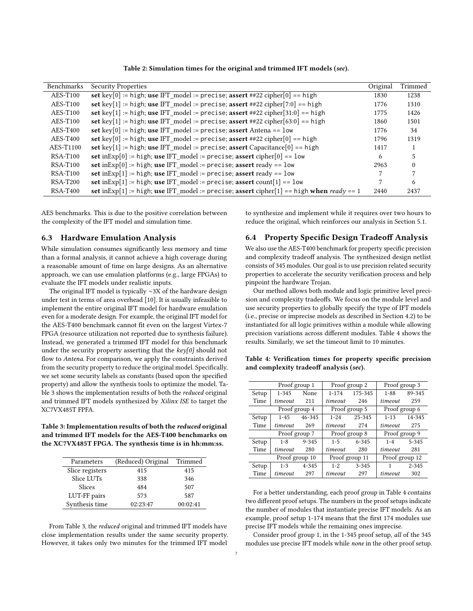<span id="page-6-0"></span>

| <b>Benchmarks</b> | <b>Security Properties</b>                                                                | Original | Trimmed  |
|-------------------|-------------------------------------------------------------------------------------------|----------|----------|
| $AES-T100$        | set key[0] := high; use IFT_model := precise; assert ##22 cipher[0] == high               | 1830     | 1238     |
| $AES-T100$        | set key[1] := high; use IFT_model := precise; assert ##22 cipher[7:0] == high             | 1776     | 1310     |
| $AES-T100$        | set key[1] := high; use IFT_model := precise; assert ##22 cipher[31:0] == high            | 1775     | 1426     |
| $AES-T100$        | set key[1] := high; use IFT_model := precise; assert ##22 cipher[63:0] == high            | 1860     | 1501     |
| $AES-T400$        | set $key[0] := high$ ; use IFT_model := precise; assert Antena == low                     | 1776     | 34       |
| $AES-T400$        | set key[0] := high; use IFT_model := precise; assert ##22 cipher[0] == high               | 1796     | 1319     |
| AES-T1100         | set key[1] := high; use IFT_model := precise; assert Capacitance[0] == high               | 1417     |          |
| $RSA-T100$        | set in $Exp[0]$ := high; use IFT_model := precise; assert cipher $[0] == low$             | 6        | 5        |
| $RSA-T100$        | set in $Exp[0]$ := high; use IFT_model := precise; assert ready == low                    | 2963     | $\theta$ |
| $RSA-T100$        | set in $Exp[1]$ := high; use IFT_model := precise; assert ready == low                    |          | 7        |
| $RSA-T200$        | set in $Exp[1]$ := high; use IFT_model := precise; assert count $[1] == low$              |          | 6        |
| $RSA-T400$        | set in Exp[1] := high; use IFT_model := precise; assert cipher[1] == high when ready == 1 | 2440     | 2437     |

Table 2: Simulation times for the original and trimmed IFT models (sec).

AES benchmarks. This is due to the positive correlation between the complexity of the IFT model and simulation time.

to synthesize and implement while it requires over two hours to reduce the original, which reinforces our analysis in Section [5.1.](#page-3-4)

## 6.3 Hardware Emulation Analysis

While simulation consumes significantly less memory and time than a formal analysis, it cannot achieve a high coverage during a reasonable amount of time on large designs. As an alternative approach, we can use emulation platforms (e.g., large FPGAs) to evaluate the IFT models under realistic inputs.

The original IFT model is typically ∼3X of the hardware design under test in terms of area overhead [\[10\]](#page-7-28). It is usually infeasible to implement the entire original IFT model for hardware emulation even for a moderate design. For example, the original IFT model for the AES-T400 benchmark cannot fit even on the largest Virtex-7 FPGA (resource utilization not reported due to synthesis failure). Instead, we generated a trimmed IFT model for this benchmark under the security property asserting that the  $key[0]$  should not flow to Antena. For comparison, we apply the constraints derived from the security property to reduce the original model. Specifically, we set some security labels as constants (based upon the specified property) and allow the synthesis tools to optimize the model. Table [3](#page-6-1) shows the implementation results of both the reduced original and trimmed IFT models synthesized by Xilinx ISE to target the XC7VX485T FPFA.

<span id="page-6-1"></span>Table 3: Implementation results of both the reduced original and trimmed IFT models for the AES-T400 benchmarks on the XC7VX485T FPGA. The synthesis time is in hh:mm:ss.

| Parameters      | (Reduced) Original | Trimmed  |  |
|-----------------|--------------------|----------|--|
| Slice registers | 415                | 415      |  |
| Slice LUTs      | 338                | 346      |  |
| Slices          | 484                | 507      |  |
| LUT-FF pairs    | 573                | 587      |  |
| Synthesis time  | 02:23:47           | 00:02:41 |  |

From Table [3,](#page-6-1) the reduced original and trimmed IFT models have close implementation results under the same security property. However, it takes only two minutes for the trimmed IFT model

## 6.4 Property Specific Design Tradeoff Analysis

We also use the AES-T400 benchmark for property specific precision and complexity tradeoff analysis. The synthesized design netlist consists of 345 modules. Our goal is to use precision related security properties to accelerate the security verification process and help pinpoint the hardware Trojan.

Our method allows both module and logic primitive level precision and complexity tradeoffs. We focus on the module level and use security properties to globally specify the type of IFT models (i.e., precise or imprecise models as described in Section [4.2\)](#page-2-4) to be instantiated for all logic primitives within a module while allowing precision variations across different modules. Table [4](#page-6-2) shows the results. Similarly, we set the timeout limit to 10 minutes.

<span id="page-6-2"></span>Table 4: Verification times for property specific precision and complexity tradeoff analysis (sec).

| Proof group 1  |           | Proof group 2  |           | Proof group 3  |          |           |
|----------------|-----------|----------------|-----------|----------------|----------|-----------|
| Setup          | $1 - 345$ | None           | $1 - 174$ | 175-345        | $1 - 88$ | 89-345    |
| Time           | timeout   | 211            | timeout   | 246            | timeout  | 259       |
| Proof group 4  |           | Proof group 5  |           | Proof group 6  |          |           |
| Setup          | $1 - 45$  | $46 - 345$     | $1 - 24$  | 25-345         | $1 - 13$ | 14-345    |
| Time           | timeout   | 269            | timeout   | 274            | timeout  | 275       |
| Proof group 7  |           | Proof group 8  |           | Proof group 9  |          |           |
| Setup          | $1 - 8$   | $9 - 345$      | $1 - 5$   | $6 - 345$      | $1 - 4$  | $5 - 345$ |
| Time           | timeout   | 280            | timeout   | 280            | timeout  | 281       |
| Proof group 10 |           | Proof group 11 |           | Proof group 12 |          |           |
| Setup          | $1 - 3$   | $4 - 345$      | $1 - 2$   | $3 - 345$      | 1        | $2 - 345$ |
| Time           | timeout   | 297            | timeout   | 297            | timeout  | 302       |

For a better understanding, each proof group in Table [4](#page-6-2) contains two different proof setups. The numbers in the proof setups indicate the number of modules that instantiate precise IFT models. As an example, proof setup 1-174 means that the first 174 modules use precise IFT models while the remaining ones imprecise.

Consider proof group 1, in the 1-345 proof setup, all of the 345 modules use precise IFT models while none in the other proof setup.